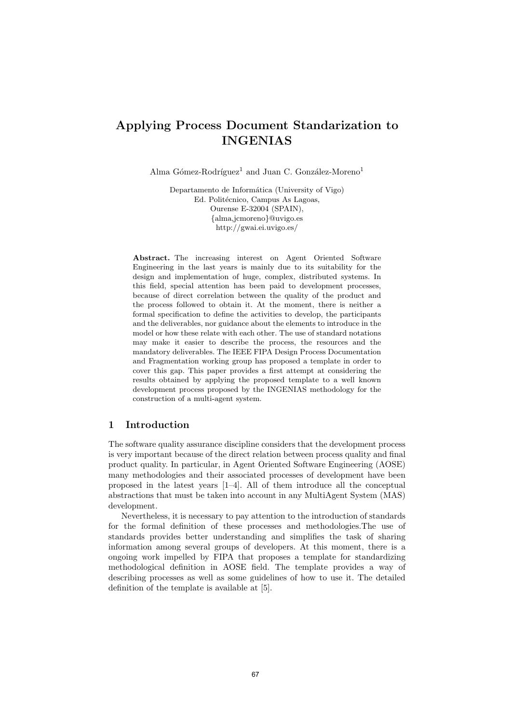# Applying Process Document Standarization to INGENIAS

Alma Gómez-Rodríguez<sup>1</sup> and Juan C. González-Moreno<sup>1</sup>

Departamento de Informática (University of Vigo) Ed. Politécnico, Campus As Lagoas, Ourense E-32004 (SPAIN), *{*alma,jcmoreno*}*@uvigo.es http://gwai.ei.uvigo.es/

Abstract. The increasing interest on Agent Oriented Software Engineering in the last years is mainly due to its suitability for the design and implementation of huge, complex, distributed systems. In this field, special attention has been paid to development processes, because of direct correlation between the quality of the product and the process followed to obtain it. At the moment, there is neither a formal specification to define the activities to develop, the participants and the deliverables, nor guidance about the elements to introduce in the model or how these relate with each other. The use of standard notations may make it easier to describe the process, the resources and the mandatory deliverables. The IEEE FIPA Design Process Documentation and Fragmentation working group has proposed a template in order to cover this gap. This paper provides a first attempt at considering the results obtained by applying the proposed template to a well known development process proposed by the INGENIAS methodology for the construction of a multi-agent system.

## 1 Introduction

The software quality assurance discipline considers that the development process is very important because of the direct relation between process quality and final product quality. In particular, in Agent Oriented Software Engineering (AOSE) many methodologies and their associated processes of development have been proposed in the latest years [1–4]. All of them introduce all the conceptual abstractions that must be taken into account in any MultiAgent System (MAS) development.

Nevertheless, it is necessary to pay attention to the introduction of standards for the formal definition of these processes and methodologies.The use of standards provides better understanding and simplifies the task of sharing information among several groups of developers. At this moment, there is a ongoing work impelled by FIPA that proposes a template for standardizing methodological definition in AOSE field. The template provides a way of describing processes as well as some guidelines of how to use it. The detailed definition of the template is available at [5].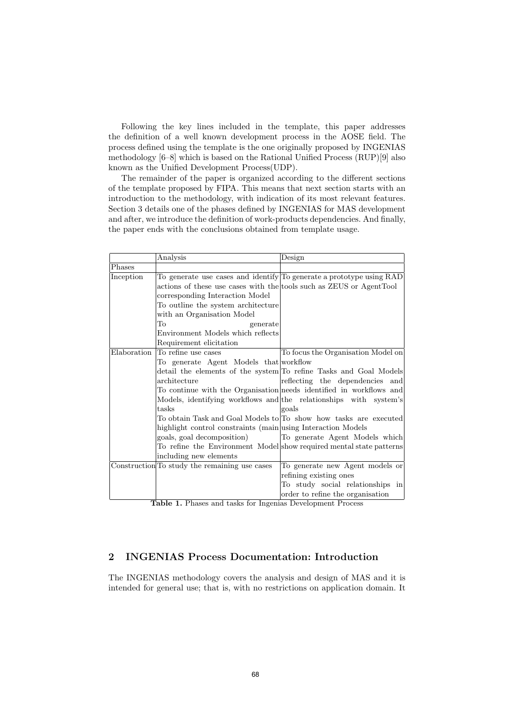Following the key lines included in the template, this paper addresses the definition of a well known development process in the AOSE field. The process defined using the template is the one originally proposed by INGENIAS methodology [6–8] which is based on the Rational Unified Process (RUP)[9] also known as the Unified Development Process(UDP).

The remainder of the paper is organized according to the different sections of the template proposed by FIPA. This means that next section starts with an introduction to the methodology, with indication of its most relevant features. Section 3 details one of the phases defined by INGENIAS for MAS development and after, we introduce the definition of work-products dependencies. And finally, the paper ends with the conclusions obtained from template usage.

|             | Analysis                                                            | Design                                                               |
|-------------|---------------------------------------------------------------------|----------------------------------------------------------------------|
| Phases      |                                                                     |                                                                      |
| Inception   |                                                                     | To generate use cases and identify To generate a prototype using RAD |
|             | actions of these use cases with the tools such as ZEUS or AgentTool |                                                                      |
|             | corresponding Interaction Model                                     |                                                                      |
|             | To outline the system architecture                                  |                                                                      |
|             | with an Organisation Model                                          |                                                                      |
|             | To<br>generate                                                      |                                                                      |
|             | Environment Models which reflects                                   |                                                                      |
|             | Requirement elicitation                                             |                                                                      |
| Elaboration | To refine use cases                                                 | To focus the Organisation Model on                                   |
|             | To generate Agent Models that workflow                              |                                                                      |
|             |                                                                     | detail the elements of the system To refine Tasks and Goal Models    |
|             | architecture                                                        | reflecting the dependencies and                                      |
|             |                                                                     | To continue with the Organisation needs identified in workflows and  |
|             |                                                                     | Models, identifying workflows and the relationships with system's    |
|             | tasks                                                               | goals                                                                |
|             |                                                                     | To obtain Task and Goal Models to To show how tasks are executed     |
|             | highlight control constraints (main using Interaction Models        |                                                                      |
|             | goals, goal decomposition)                                          | To generate Agent Models which                                       |
|             |                                                                     | To refine the Environment Model show required mental state patterns  |
|             | including new elements                                              |                                                                      |
|             | Construction To study the remaining use cases                       | To generate new Agent models or                                      |
|             |                                                                     | refining existing ones                                               |
|             |                                                                     | To study social relationships in                                     |
|             |                                                                     | order to refine the organisation                                     |

Table 1. Phases and tasks for Ingenias Development Process

## 2 INGENIAS Process Documentation: Introduction

The INGENIAS methodology covers the analysis and design of MAS and it is intended for general use; that is, with no restrictions on application domain. It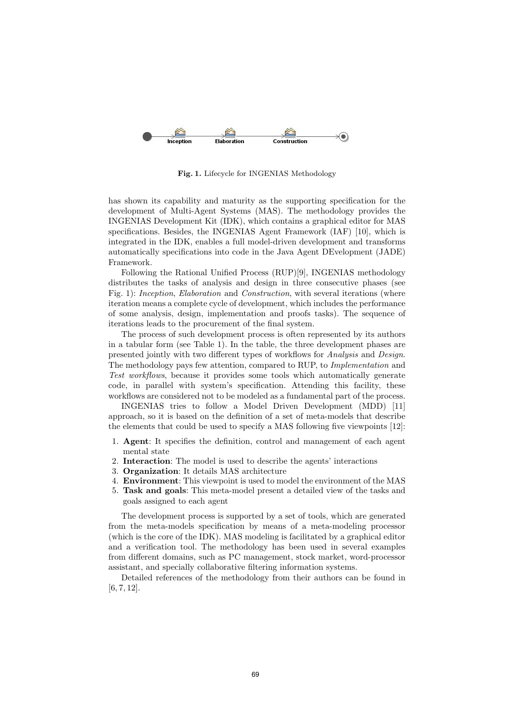

Fig. 1. Lifecycle for INGENIAS Methodology

has shown its capability and maturity as the supporting specification for the development of Multi-Agent Systems (MAS). The methodology provides the INGENIAS Development Kit (IDK), which contains a graphical editor for MAS specifications. Besides, the INGENIAS Agent Framework (IAF) [10], which is integrated in the IDK, enables a full model-driven development and transforms automatically specifications into code in the Java Agent DEvelopment (JADE) Framework.

Following the Rational Unified Process (RUP)[9], INGENIAS methodology distributes the tasks of analysis and design in three consecutive phases (see Fig. 1): *Inception*, *Elaboration* and *Construction*, with several iterations (where iteration means a complete cycle of development, which includes the performance of some analysis, design, implementation and proofs tasks). The sequence of iterations leads to the procurement of the final system.

The process of such development process is often represented by its authors in a tabular form (see Table 1). In the table, the three development phases are presented jointly with two different types of workflows for *Analysis* and *Design*. The methodology pays few attention, compared to RUP, to *Implementation* and *Test workflows*, because it provides some tools which automatically generate code, in parallel with system's specification. Attending this facility, these workflows are considered not to be modeled as a fundamental part of the process.

INGENIAS tries to follow a Model Driven Development (MDD) [11] approach, so it is based on the definition of a set of meta-models that describe the elements that could be used to specify a MAS following five viewpoints [12]:

- 1. Agent: It specifies the definition, control and management of each agent mental state
- 2. Interaction: The model is used to describe the agents' interactions
- 3. Organization: It details MAS architecture
- 4. Environment: This viewpoint is used to model the environment of the MAS
- 5. Task and goals: This meta-model present a detailed view of the tasks and goals assigned to each agent

The development process is supported by a set of tools, which are generated from the meta-models specification by means of a meta-modeling processor (which is the core of the IDK). MAS modeling is facilitated by a graphical editor and a verification tool. The methodology has been used in several examples from different domains, such as PC management, stock market, word-processor assistant, and specially collaborative filtering information systems.

Detailed references of the methodology from their authors can be found in [6, 7, 12].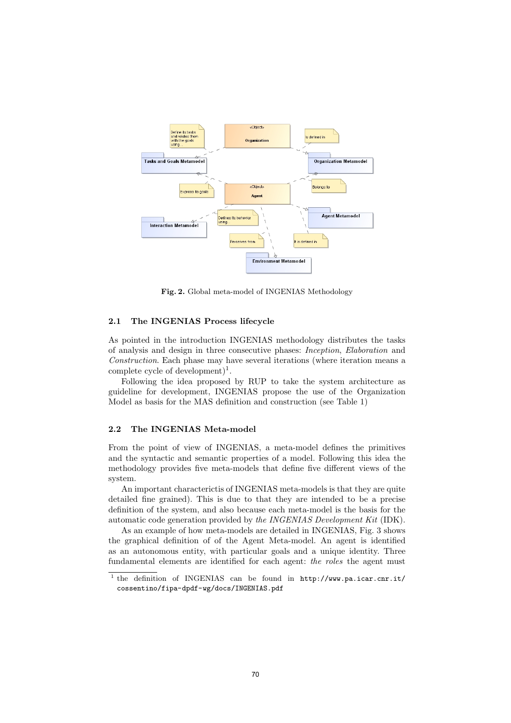

Fig. 2. Global meta-model of INGENIAS Methodology

#### 2.1 The INGENIAS Process lifecycle

As pointed in the introduction INGENIAS methodology distributes the tasks of analysis and design in three consecutive phases: *Inception*, *Elaboration* and *Construction*. Each phase may have several iterations (where iteration means a complete cycle of development $)^{1}$ .

Following the idea proposed by RUP to take the system architecture as guideline for development, INGENIAS propose the use of the Organization Model as basis for the MAS definition and construction (see Table 1)

#### 2.2 The INGENIAS Meta-model

From the point of view of INGENIAS, a meta-model defines the primitives and the syntactic and semantic properties of a model. Following this idea the methodology provides five meta-models that define five different views of the system.

An important characterictis of INGENIAS meta-models is that they are quite detailed fine grained). This is due to that they are intended to be a precise definition of the system, and also because each meta-model is the basis for the automatic code generation provided by *the INGENIAS Development Kit* (IDK).

As an example of how meta-models are detailed in INGENIAS, Fig. 3 shows the graphical definition of of the Agent Meta-model. An agent is identified as an autonomous entity, with particular goals and a unique identity. Three fundamental elements are identified for each agent: *the roles* the agent must

<sup>&</sup>lt;sup>1</sup> the definition of INGENIAS can be found in http://www.pa.icar.cnr.it/ cossentino/fipa-dpdf-wg/docs/INGENIAS.pdf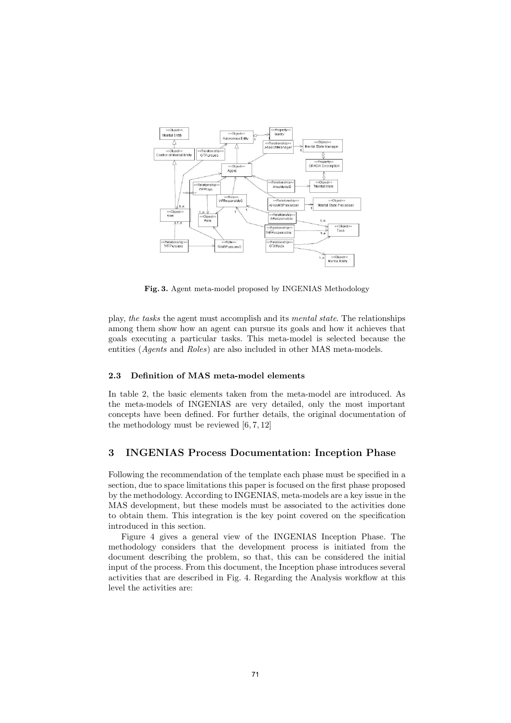

Fig. 3. Agent meta-model proposed by INGENIAS Methodology

play, *the tasks* the agent must accomplish and its *mental state*. The relationships among them show how an agent can pursue its goals and how it achieves that goals executing a particular tasks. This meta-model is selected because the entities (*Agents* and *Roles*) are also included in other MAS meta-models.

#### 2.3 Definition of MAS meta-model elements

In table 2, the basic elements taken from the meta-model are introduced. As the meta-models of INGENIAS are very detailed, only the most important concepts have been defined. For further details, the original documentation of the methodology must be reviewed [6, 7, 12]

#### 3 INGENIAS Process Documentation: Inception Phase

Following the recommendation of the template each phase must be specified in a section, due to space limitations this paper is focused on the first phase proposed by the methodology. According to INGENIAS, meta-models are a key issue in the MAS development, but these models must be associated to the activities done to obtain them. This integration is the key point covered on the specification introduced in this section.

Figure 4 gives a general view of the INGENIAS Inception Phase. The methodology considers that the development process is initiated from the document describing the problem, so that, this can be considered the initial input of the process. From this document, the Inception phase introduces several activities that are described in Fig. 4. Regarding the Analysis workflow at this level the activities are: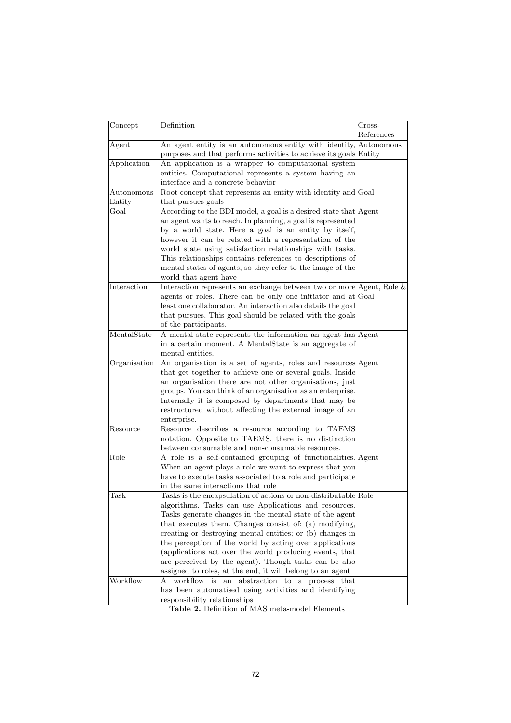| Concept      | Definition                                                                                                            | Cross-     |  |
|--------------|-----------------------------------------------------------------------------------------------------------------------|------------|--|
|              |                                                                                                                       | References |  |
| Agent        | An agent entity is an autonomous entity with identity, Autonomous                                                     |            |  |
|              | purposes and that performs activities to achieve its goals Entity                                                     |            |  |
| Application  | An application is a wrapper to computational system                                                                   |            |  |
|              | entities. Computational represents a system having an                                                                 |            |  |
|              | interface and a concrete behavior                                                                                     |            |  |
| Autonomous   | Root concept that represents an entity with identity and Goal                                                         |            |  |
| Entity       | that pursues goals                                                                                                    |            |  |
| Goal         | According to the BDI model, a goal is a desired state that Agent                                                      |            |  |
|              | an agent wants to reach. In planning, a goal is represented                                                           |            |  |
|              | by a world state. Here a goal is an entity by itself,                                                                 |            |  |
|              | however it can be related with a representation of the                                                                |            |  |
|              | world state using satisfaction relationships with tasks.                                                              |            |  |
|              | This relationships contains references to descriptions of                                                             |            |  |
|              | mental states of agents, so they refer to the image of the                                                            |            |  |
|              | world that agent have                                                                                                 |            |  |
| Interaction  | Interaction represents an exchange between two or more Agent, Role $\&$                                               |            |  |
|              | agents or roles. There can be only one initiator and $at Goal$                                                        |            |  |
|              | least one collaborator. An interaction also details the goal                                                          |            |  |
|              | that pursues. This goal should be related with the goals                                                              |            |  |
|              | of the participants.                                                                                                  |            |  |
| MentalState  | A mental state represents the information an agent has Agent                                                          |            |  |
|              | in a certain moment. A MentalState is an aggregate of                                                                 |            |  |
|              | mental entities.                                                                                                      |            |  |
| Organisation | An organisation is a set of agents, roles and resources Agent                                                         |            |  |
|              | that get together to achieve one or several goals. Inside                                                             |            |  |
|              | an organisation there are not other organisations, just<br>groups. You can think of an organisation as an enterprise. |            |  |
|              | Internally it is composed by departments that may be                                                                  |            |  |
|              | restructured without affecting the external image of an                                                               |            |  |
|              | enterprise.                                                                                                           |            |  |
| Resource     | Resource describes a resource according to TAEMS                                                                      |            |  |
|              | notation. Opposite to TAEMS, there is no distinction                                                                  |            |  |
|              | between consumable and non-consumable resources.                                                                      |            |  |
| Role         | A role is a self-contained grouping of functionalities. Agent                                                         |            |  |
|              | When an agent plays a role we want to express that you                                                                |            |  |
|              | have to execute tasks associated to a role and participate                                                            |            |  |
|              | in the same interactions that role                                                                                    |            |  |
| Task         | Tasks is the encapsulation of actions or non-distributable Role                                                       |            |  |
|              | algorithms. Tasks can use Applications and resources.                                                                 |            |  |
|              | Tasks generate changes in the mental state of the agent                                                               |            |  |
|              | that executes them. Changes consist of: (a) modifying,                                                                |            |  |
|              | creating or destroying mental entities; or (b) changes in                                                             |            |  |
|              | the perception of the world by acting over applications                                                               |            |  |
|              | (applications act over the world producing events, that                                                               |            |  |
|              | are perceived by the agent). Though tasks can be also                                                                 |            |  |
|              | assigned to roles, at the end, it will belong to an agent                                                             |            |  |
| Workflow     | workflow is an abstraction to a process that<br>А                                                                     |            |  |
|              | has been automatised using activities and identifying                                                                 |            |  |
|              | responsibility relationships                                                                                          |            |  |

Table 2. Definition of MAS meta-model Elements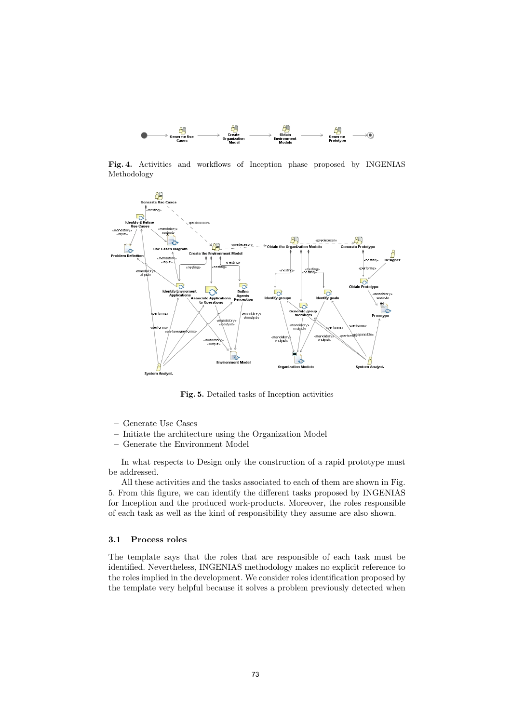

Fig. 4. Activities and workflows of Inception phase proposed by INGENIAS Methodology



Fig. 5. Detailed tasks of Inception activities

- Generate Use Cases
- Initiate the architecture using the Organization Model
- Generate the Environment Model

In what respects to Design only the construction of a rapid prototype must be addressed.

All these activities and the tasks associated to each of them are shown in Fig. 5. From this figure, we can identify the different tasks proposed by INGENIAS for Inception and the produced work-products. Moreover, the roles responsible of each task as well as the kind of responsibility they assume are also shown.

### 3.1 Process roles

The template says that the roles that are responsible of each task must be identified. Nevertheless, INGENIAS methodology makes no explicit reference to the roles implied in the development. We consider roles identification proposed by the template very helpful because it solves a problem previously detected when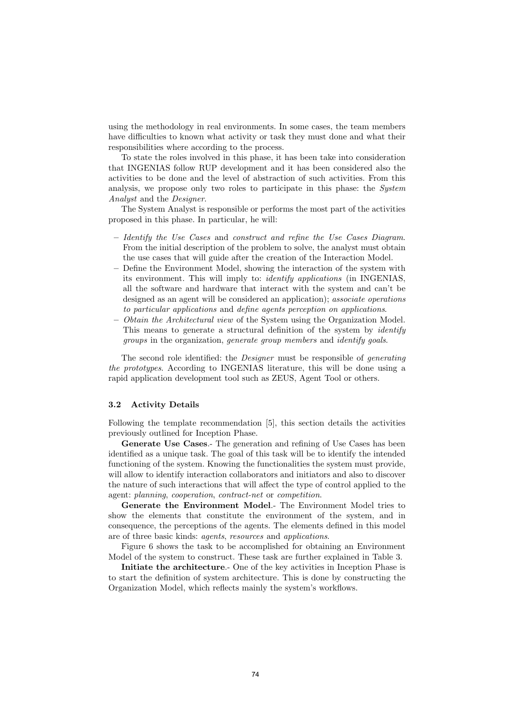using the methodology in real environments. In some cases, the team members have difficulties to known what activity or task they must done and what their responsibilities where according to the process.

To state the roles involved in this phase, it has been take into consideration that INGENIAS follow RUP development and it has been considered also the activities to be done and the level of abstraction of such activities. From this analysis, we propose only two roles to participate in this phase: the *System Analyst* and the *Designer*.

The System Analyst is responsible or performs the most part of the activities proposed in this phase. In particular, he will:

- *Identify the Use Cases* and *construct and refine the Use Cases Diagram*. From the initial description of the problem to solve, the analyst must obtain the use cases that will guide after the creation of the Interaction Model.
- Define the Environment Model, showing the interaction of the system with its environment. This will imply to: *identify applications* (in INGENIAS, all the software and hardware that interact with the system and can't be designed as an agent will be considered an application); *associate operations to particular applications* and *define agents perception on applications*.
- *Obtain the Architectural view* of the System using the Organization Model. This means to generate a structural definition of the system by *identify groups* in the organization, *generate group members* and *identify goals*.

The second role identified: the *Designer* must be responsible of *generating the prototypes*. According to INGENIAS literature, this will be done using a rapid application development tool such as ZEUS, Agent Tool or others.

#### 3.2 Activity Details

Following the template recommendation [5], this section details the activities previously outlined for Inception Phase.

Generate Use Cases.- The generation and refining of Use Cases has been identified as a unique task. The goal of this task will be to identify the intended functioning of the system. Knowing the functionalities the system must provide, will allow to identify interaction collaborators and initiators and also to discover the nature of such interactions that will affect the type of control applied to the agent: *planning*, *cooperation*, *contract-net* or *competition*.

Generate the Environment Model.- The Environment Model tries to show the elements that constitute the environment of the system, and in consequence, the perceptions of the agents. The elements defined in this model are of three basic kinds: *agents*, *resources* and *applications*.

Figure 6 shows the task to be accomplished for obtaining an Environment Model of the system to construct. These task are further explained in Table 3.

Initiate the architecture.- One of the key activities in Inception Phase is to start the definition of system architecture. This is done by constructing the Organization Model, which reflects mainly the system's workflows.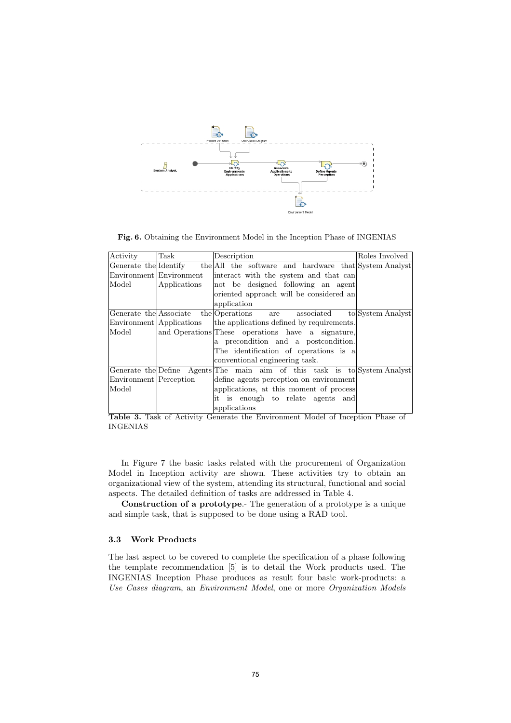

Fig. 6. Obtaining the Environment Model in the Inception Phase of INGENIAS

| Activity               | Task                     | Description                                                                 | Roles Involved    |
|------------------------|--------------------------|-----------------------------------------------------------------------------|-------------------|
|                        |                          | Generate the Identify the All the software and hardware that System Analyst |                   |
|                        | Environment Environment  | interact with the system and that can                                       |                   |
| Model                  | Applications             | not be designed following an agent                                          |                   |
|                        |                          | oriented approach will be considered an                                     |                   |
|                        |                          | application                                                                 |                   |
|                        |                          | Generate the Associate the Operations are associated                        | to System Analyst |
|                        | Environment Applications | the applications defined by requirements.                                   |                   |
| Model                  |                          | and Operations These operations have a signature,                           |                   |
|                        |                          | a precondition and a postcondition.                                         |                   |
|                        |                          | The identification of operations is a                                       |                   |
|                        |                          | conventional engineering task.                                              |                   |
|                        |                          | Generate the Define Agents The main aim of this task is to System Analyst   |                   |
| Environment Perception |                          | define agents perception on environment                                     |                   |
| Model                  |                          | applications, at this moment of process                                     |                   |
|                        |                          | it is enough to relate agents and                                           |                   |
|                        |                          | applications                                                                |                   |

Table 3. Task of Activity Generate the Environment Model of Inception Phase of INGENIAS

In Figure 7 the basic tasks related with the procurement of Organization Model in Inception activity are shown. These activities try to obtain an organizational view of the system, attending its structural, functional and social aspects. The detailed definition of tasks are addressed in Table 4.

Construction of a prototype.- The generation of a prototype is a unique and simple task, that is supposed to be done using a RAD tool.

### 3.3 Work Products

The last aspect to be covered to complete the specification of a phase following the template recommendation [5] is to detail the Work products used. The INGENIAS Inception Phase produces as result four basic work-products: a *Use Cases diagram*, an *Environment Model*, one or more *Organization Models*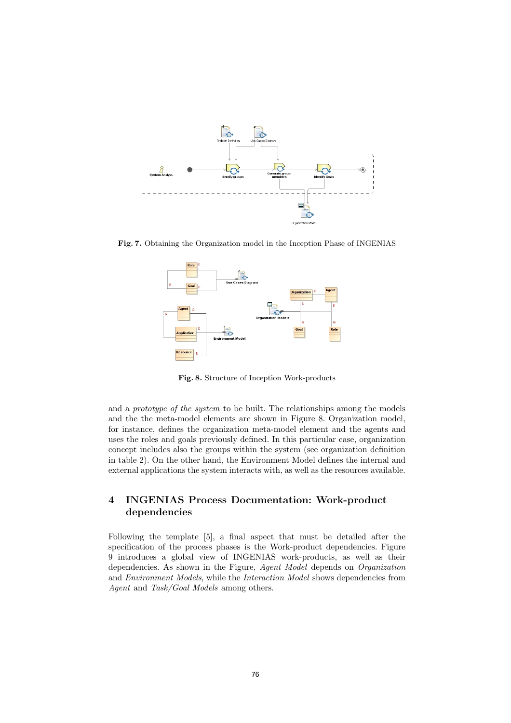

Fig. 7. Obtaining the Organization model in the Inception Phase of INGENIAS



Fig. 8. Structure of Inception Work-products

and a *prototype of the system* to be built. The relationships among the models and the the meta-model elements are shown in Figure 8. Organization model, for instance, defines the organization meta-model element and the agents and uses the roles and goals previously defined. In this particular case, organization concept includes also the groups within the system (see organization definition in table 2). On the other hand, the Environment Model defines the internal and external applications the system interacts with, as well as the resources available.

# 4 INGENIAS Process Documentation: Work-product dependencies

Following the template [5], a final aspect that must be detailed after the specification of the process phases is the Work-product dependencies. Figure 9 introduces a global view of INGENIAS work-products, as well as their dependencies. As shown in the Figure, *Agent Model* depends on *Organization* and *Environment Models*, while the *Interaction Model* shows dependencies from *Agent* and *Task/Goal Models* among others.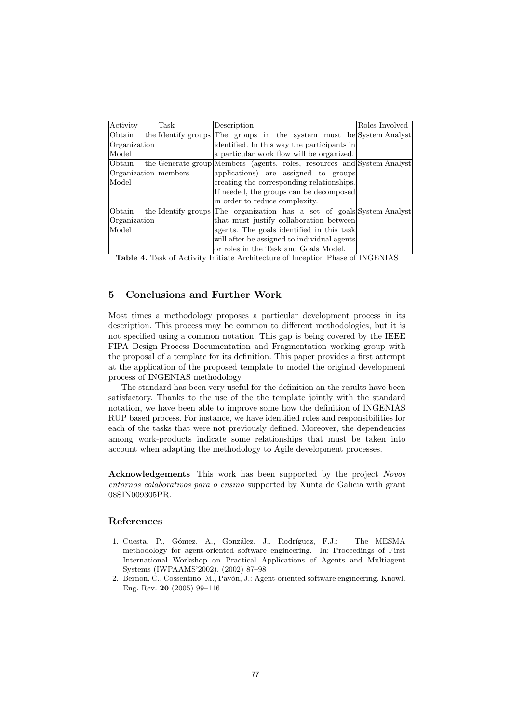| Activity             | Task | Description                                                             | Roles Involved |
|----------------------|------|-------------------------------------------------------------------------|----------------|
| Obtain               |      | the Identify groups The groups in the system must be System Analyst     |                |
| Organization         |      | identified. In this way the participants in                             |                |
| Model                |      | a particular work flow will be organized.                               |                |
| Obtain               |      | the Generate group Members (agents, roles, resources and System Analyst |                |
| Organization members |      | applications) are assigned to groups                                    |                |
| Model                |      | creating the corresponding relationships.                               |                |
|                      |      | If needed, the groups can be decomposed                                 |                |
|                      |      | in order to reduce complexity.                                          |                |
| Obtain               |      | the Identify groups The organization has a set of goals System Analyst  |                |
| Organization         |      | that must justify collaboration between                                 |                |
| Model                |      | agents. The goals identified in this task                               |                |
|                      |      | will after be assigned to individual agents                             |                |
|                      |      | or roles in the Task and Goals Model.                                   |                |

Table 4. Task of Activity Initiate Architecture of Inception Phase of INGENIAS

# 5 Conclusions and Further Work

Most times a methodology proposes a particular development process in its description. This process may be common to different methodologies, but it is not specified using a common notation. This gap is being covered by the IEEE FIPA Design Process Documentation and Fragmentation working group with the proposal of a template for its definition. This paper provides a first attempt at the application of the proposed template to model the original development process of INGENIAS methodology.

The standard has been very useful for the definition an the results have been satisfactory. Thanks to the use of the the template jointly with the standard notation, we have been able to improve some how the definition of INGENIAS RUP based process. For instance, we have identified roles and responsibilities for each of the tasks that were not previously defined. Moreover, the dependencies among work-products indicate some relationships that must be taken into account when adapting the methodology to Agile development processes.

Acknowledgements This work has been supported by the project *Novos entornos colaborativos para o ensino* supported by Xunta de Galicia with grant 08SIN009305PR.

## References

- 1. Cuesta, P., Gómez, A., González, J., Rodríguez, F.J.: The MESMA methodology for agent-oriented software engineering. In: Proceedings of First International Workshop on Practical Applications of Agents and Multiagent Systems (IWPAAMS'2002). (2002) 87–98
- 2. Bernon, C., Cossentino, M., Pavón, J.: Agent-oriented software engineering. Knowl. Eng. Rev. 20 (2005) 99–116